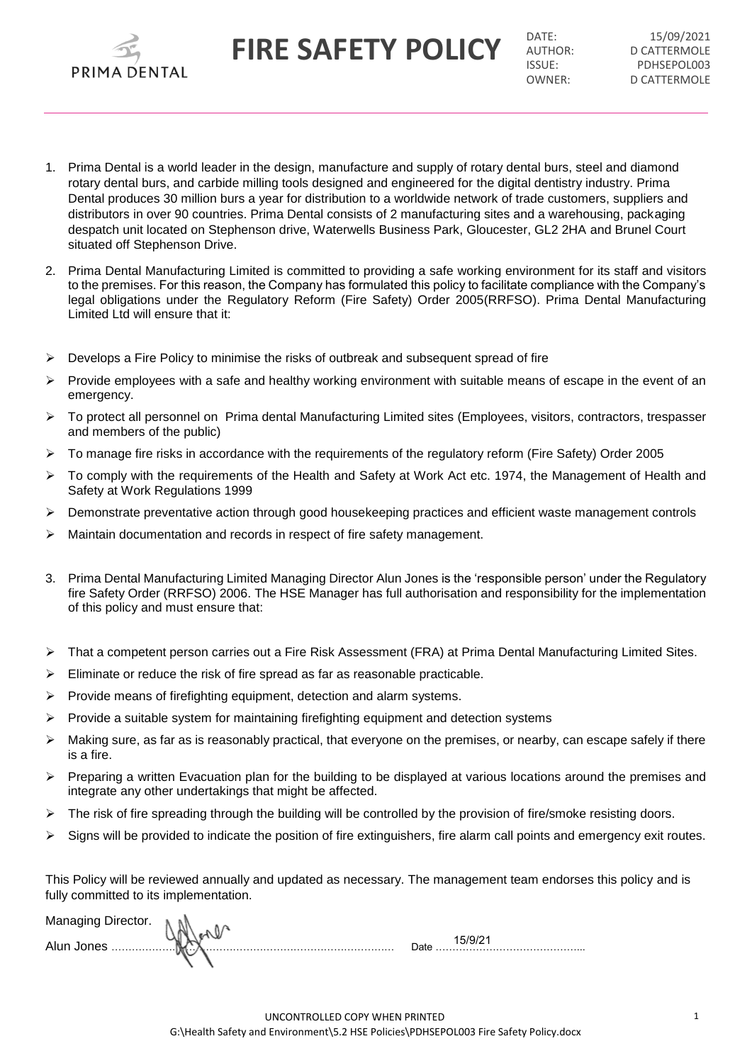**FIRE SAFETY POLICY DATE: DATE: DESCRIPEDINGLE** 

D CATTERMOLE ISSUE: PDHSEPOL003<br>
OWNER' D CATTERMOLE D CATTERMOLE

- 1. Prima Dental is a world leader in the design, manufacture and supply of rotary dental burs, steel and diamond rotary dental burs, and carbide milling tools designed and engineered for the digital dentistry industry. Prima Dental produces 30 million burs a year for distribution to a worldwide network of trade customers, suppliers and distributors in over 90 countries. Prima Dental consists of 2 manufacturing sites and a warehousing, packaging despatch unit located on Stephenson drive, Waterwells Business Park, Gloucester, GL2 2HA and Brunel Court situated off Stephenson Drive.
- 2. Prima Dental Manufacturing Limited is committed to providing a safe working environment for its staff and visitors to the premises. For this reason, the Company has formulated this policy to facilitate compliance with the Company's legal obligations under the Regulatory Reform (Fire Safety) Order 2005(RRFSO). Prima Dental Manufacturing Limited Ltd will ensure that it:
- $\triangleright$  Develops a Fire Policy to minimise the risks of outbreak and subsequent spread of fire
- Provide employees with a safe and healthy working environment with suitable means of escape in the event of an emergency.
- To protect all personnel on Prima dental Manufacturing Limited sites (Employees, visitors, contractors, trespasser and members of the public)
- $\triangleright$  To manage fire risks in accordance with the requirements of the regulatory reform (Fire Safety) Order 2005
- $\triangleright$  To comply with the requirements of the Health and Safety at Work Act etc. 1974, the Management of Health and Safety at Work Regulations 1999
- $\triangleright$  Demonstrate preventative action through good housekeeping practices and efficient waste management controls
- $\triangleright$  Maintain documentation and records in respect of fire safety management.
- 3. Prima Dental Manufacturing Limited Managing Director Alun Jones is the 'responsible person' under the Regulatory fire Safety Order (RRFSO) 2006. The HSE Manager has full authorisation and responsibility for the implementation of this policy and must ensure that:
- That a competent person carries out a Fire Risk Assessment (FRA) at Prima Dental Manufacturing Limited Sites.
- $\triangleright$  Eliminate or reduce the risk of fire spread as far as reasonable practicable.
- $\triangleright$  Provide means of firefighting equipment, detection and alarm systems.
- $\triangleright$  Provide a suitable system for maintaining firefighting equipment and detection systems
- Making sure, as far as is reasonably practical, that everyone on the premises, or nearby, can escape safely if there is a fire.
- $\triangleright$  Preparing a written Evacuation plan for the building to be displayed at various locations around the premises and integrate any other undertakings that might be affected.
- $\triangleright$  The risk of fire spreading through the building will be controlled by the provision of fire/smoke resisting doors.
- $\triangleright$  Signs will be provided to indicate the position of fire extinguishers, fire alarm call points and emergency exit routes.

This Policy will be reviewed annually and updated as necessary. The management team endorses this policy and is fully committed to its implementation.

| Managing Director. |        |                            |
|--------------------|--------|----------------------------|
| Alun Jones         | .<br>. | ء <del>ا</del> د٦<br>----- |
|                    |        |                            |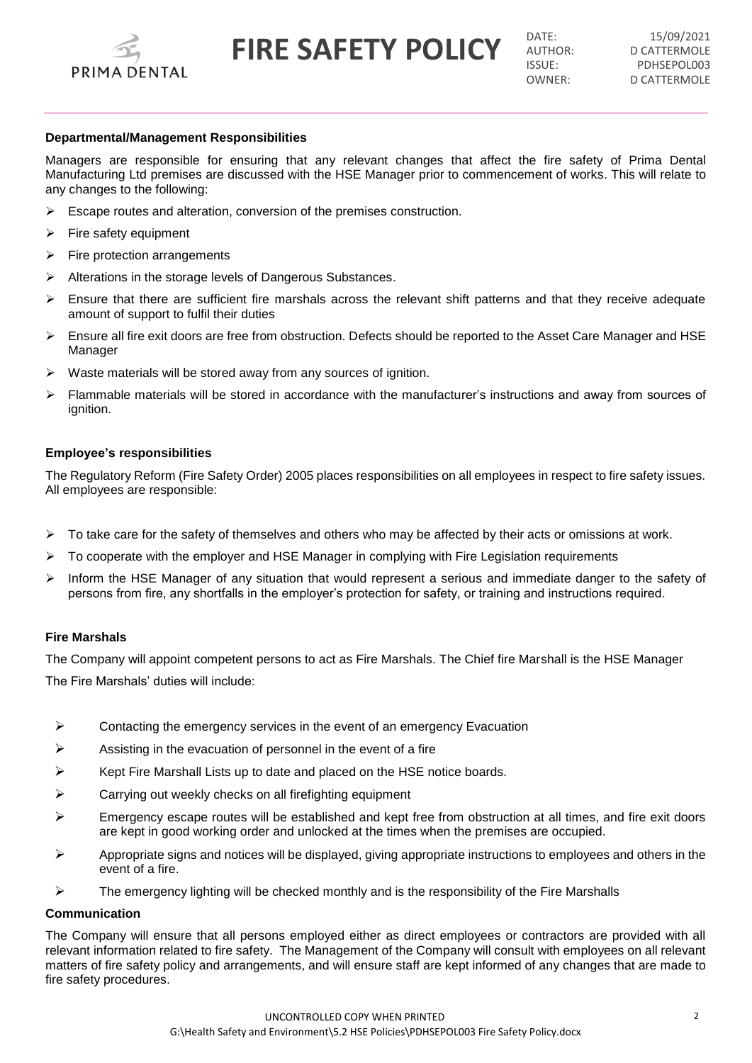

**FIRE SAFETY POLICY DATE: DATE: DESCRIPTION** 

D CATTERMOLE ISSUE: PDHSEPOL003<br>
OWNER' D CATTERMOLE D CATTERMOLE

## **Departmental/Management Responsibilities**

Managers are responsible for ensuring that any relevant changes that affect the fire safety of Prima Dental Manufacturing Ltd premises are discussed with the HSE Manager prior to commencement of works. This will relate to any changes to the following:

- $\triangleright$  Escape routes and alteration, conversion of the premises construction.
- Fire safety equipment
- $\triangleright$  Fire protection arrangements
- Alterations in the storage levels of Dangerous Substances.
- $\triangleright$  Ensure that there are sufficient fire marshals across the relevant shift patterns and that they receive adequate amount of support to fulfil their duties
- $\triangleright$  Ensure all fire exit doors are free from obstruction. Defects should be reported to the Asset Care Manager and HSE Manager
- $\triangleright$  Waste materials will be stored away from any sources of ignition.
- Flammable materials will be stored in accordance with the manufacturer's instructions and away from sources of ignition.

### **Employee's responsibilities**

The Regulatory Reform (Fire Safety Order) 2005 places responsibilities on all employees in respect to fire safety issues. All employees are responsible:

- To take care for the safety of themselves and others who may be affected by their acts or omissions at work.
- To cooperate with the employer and HSE Manager in complying with Fire Legislation requirements
- $\triangleright$  Inform the HSE Manager of any situation that would represent a serious and immediate danger to the safety of persons from fire, any shortfalls in the employer's protection for safety, or training and instructions required.

## **Fire Marshals**

The Company will appoint competent persons to act as Fire Marshals. The Chief fire Marshall is the HSE Manager The Fire Marshals' duties will include:

- $\triangleright$  Contacting the emergency services in the event of an emergency Evacuation
- $\triangleright$  Assisting in the evacuation of personnel in the event of a fire
- $\triangleright$  Kept Fire Marshall Lists up to date and placed on the HSE notice boards.
- $\triangleright$  Carrying out weekly checks on all firefighting equipment
- $\triangleright$  Emergency escape routes will be established and kept free from obstruction at all times, and fire exit doors are kept in good working order and unlocked at the times when the premises are occupied.
- $\triangleright$  Appropriate signs and notices will be displayed, giving appropriate instructions to employees and others in the event of a fire.
- $\triangleright$  The emergency lighting will be checked monthly and is the responsibility of the Fire Marshalls

#### **Communication**

The Company will ensure that all persons employed either as direct employees or contractors are provided with all relevant information related to fire safety. The Management of the Company will consult with employees on all relevant matters of fire safety policy and arrangements, and will ensure staff are kept informed of any changes that are made to fire safety procedures.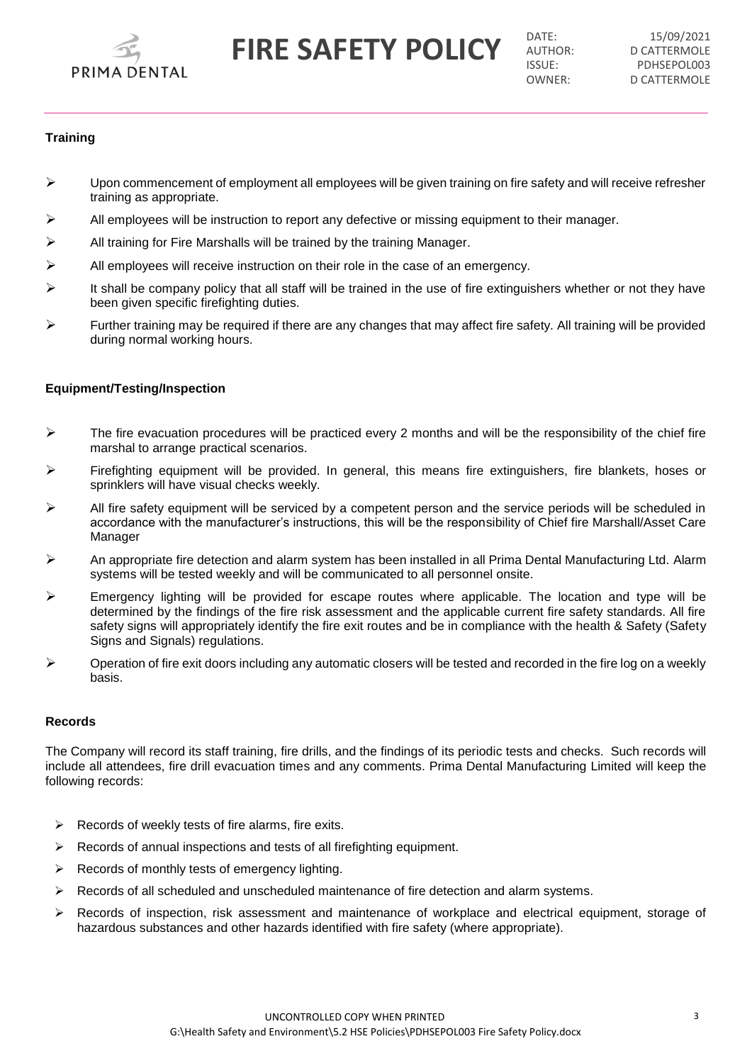

**FIRE SAFETY POLICY DATE: DATE: DESCRIPTION** 

D CATTERMOLE ISSUE: PDHSEPOL003<br>
OWNER' D CATTERMOLE D CATTERMOLE

# **Training**

- $\triangleright$  Upon commencement of employment all employees will be given training on fire safety and will receive refresher training as appropriate.
- All employees will be instruction to report any defective or missing equipment to their manager.
- $\triangleright$  All training for Fire Marshalls will be trained by the training Manager.
- $\triangleright$  All employees will receive instruction on their role in the case of an emergency.
- $\triangleright$  It shall be company policy that all staff will be trained in the use of fire extinguishers whether or not they have been given specific firefighting duties.
- Further training may be required if there are any changes that may affect fire safety. All training will be provided during normal working hours.

## **Equipment/Testing/Inspection**

- $\triangleright$  The fire evacuation procedures will be practiced every 2 months and will be the responsibility of the chief fire marshal to arrange practical scenarios.
- $\triangleright$  Firefighting equipment will be provided. In general, this means fire extinguishers, fire blankets, hoses or sprinklers will have visual checks weekly.
- $\triangleright$  All fire safety equipment will be serviced by a competent person and the service periods will be scheduled in accordance with the manufacturer's instructions, this will be the responsibility of Chief fire Marshall/Asset Care Manager
- An appropriate fire detection and alarm system has been installed in all Prima Dental Manufacturing Ltd. Alarm systems will be tested weekly and will be communicated to all personnel onsite.
- $\triangleright$  Emergency lighting will be provided for escape routes where applicable. The location and type will be determined by the findings of the fire risk assessment and the applicable current fire safety standards. All fire safety signs will appropriately identify the fire exit routes and be in compliance with the health & Safety (Safety Signs and Signals) regulations.
- $\triangleright$  Operation of fire exit doors including any automatic closers will be tested and recorded in the fire log on a weekly basis.

## **Records**

The Company will record its staff training, fire drills, and the findings of its periodic tests and checks. Such records will include all attendees, fire drill evacuation times and any comments. Prima Dental Manufacturing Limited will keep the following records:

- $\triangleright$  Records of weekly tests of fire alarms, fire exits.
- $\triangleright$  Records of annual inspections and tests of all firefighting equipment.
- Records of monthly tests of emergency lighting.
- $\triangleright$  Records of all scheduled and unscheduled maintenance of fire detection and alarm systems.
- $\triangleright$  Records of inspection, risk assessment and maintenance of workplace and electrical equipment, storage of hazardous substances and other hazards identified with fire safety (where appropriate).